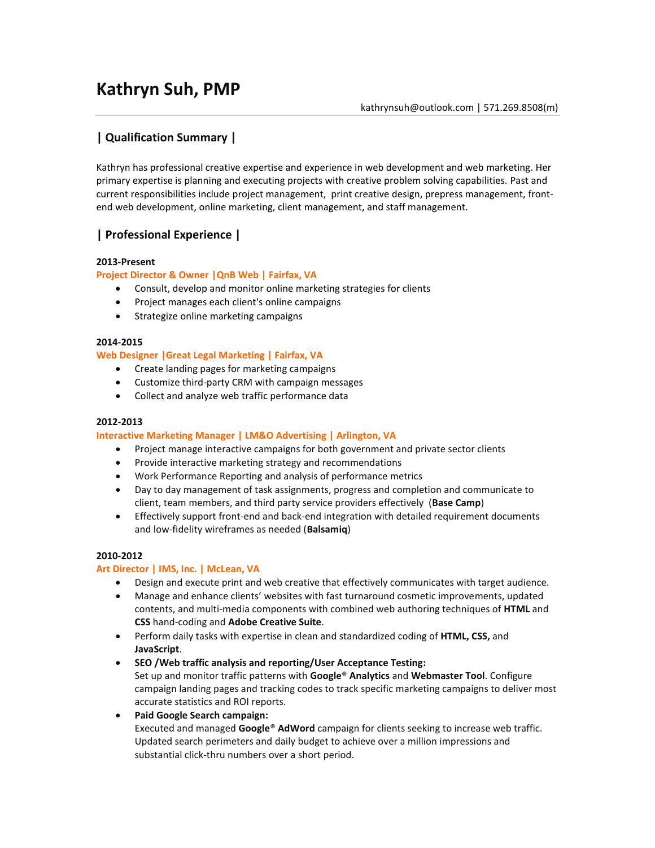# **Kathryn Suh, PMP**

# **| Qualification Summary |**

Kathryn has professional creative expertise and experience in web development and web marketing. Her primary expertise is planning and executing projects with creative problem solving capabilities. Past and current responsibilities include project management, print creative design, prepress management, frontend web development, online marketing, client management, and staff management.

# **| Professional Experience |**

#### **2013-Present**

#### **Project Director & Owner |QnB Web | Fairfax, VA**

- Consult, develop and monitor online marketing strategies for clients
- Project manages each client's online campaigns
- Strategize online marketing campaigns

#### **2014-2015**

#### **Web Designer |Great Legal Marketing | Fairfax, VA**

- Create landing pages for marketing campaigns
- Customize third-party CRM with campaign messages
- Collect and analyze web traffic performance data

#### **2012‐2013**

#### **Interactive Marketing Manager | LM&O Advertising | Arlington, VA**

- Project manage interactive campaigns for both government and private sector clients
- Provide interactive marketing strategy and recommendations
- Work Performance Reporting and analysis of performance metrics
- Day to day management of task assignments, progress and completion and communicate to client, team members, and third party service providers effectively (**Base Camp**)
- Effectively support front-end and back-end integration with detailed requirement documents and low-fidelity wireframes as needed (**Balsamiq**)

#### **2010‐2012**

### **Art Director | IMS, Inc. | McLean, VA**

- Design and execute print and web creative that effectively communicates with target audience.
- Manage and enhance clients' websites with fast turnaround cosmetic improvements, updated contents, and multi-media components with combined web authoring techniques of **HTML** and **CSS** hand-coding and **Adobe Creative Suite**.
- Perform daily tasks with expertise in clean and standardized coding of **HTML, CSS,** and **JavaScript**.
- **SEO /Web traffic analysis and reporting/User Acceptance Testing:** Set up and monitor traffic patterns with **Google**® **Analytics** and **Webmaster Tool**. Configure campaign landing pages and tracking codes to track specific marketing campaigns to deliver most accurate statistics and ROI reports.
- **Paid Google Search campaign:**

Executed and managed **Google**® **AdWord** campaign for clients seeking to increase web traffic. Updated search perimeters and daily budget to achieve over a million impressions and substantial click-thru numbers over a short period.